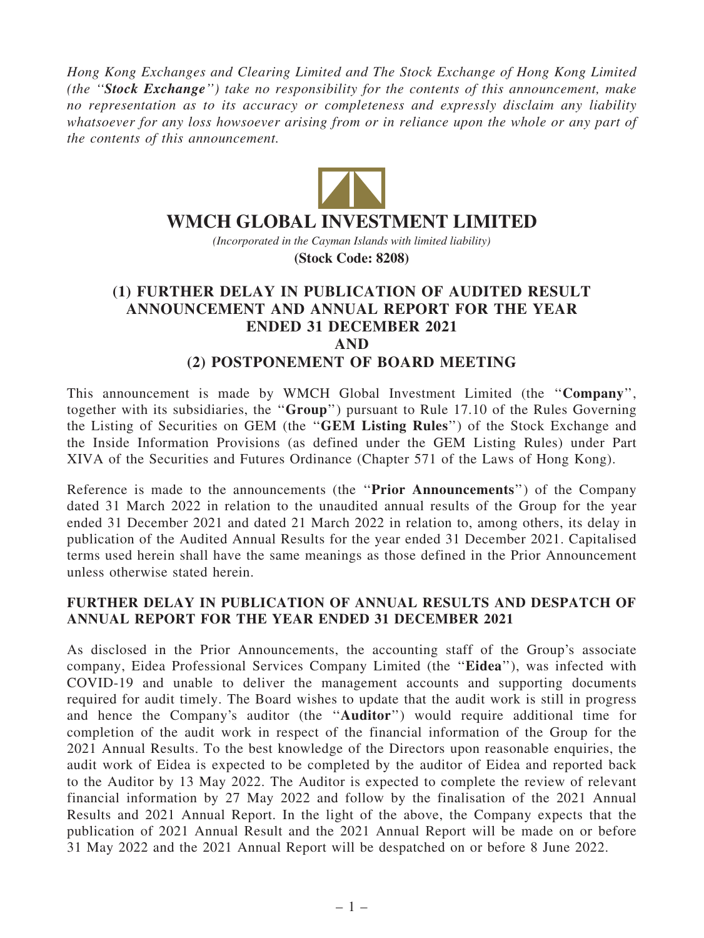Hong Kong Exchanges and Clearing Limited and The Stock Exchange of Hong Kong Limited (the ''Stock Exchange'') take no responsibility for the contents of this announcement, make no representation as to its accuracy or completeness and expressly disclaim any liability whatsoever for any loss howsoever arising from or in reliance upon the whole or any part of the contents of this announcement.



## **WMCH GLOBAL INVESTMENT LIMITED**

*(Incorporated in the Cayman Islands with limited liability)* **(Stock Code: 8208)**

## (1) FURTHER DELAY IN PUBLICATION OF AUDITED RESULT ANNOUNCEMENT AND ANNUAL REPORT FOR THE YEAR ENDED 31 DECEMBER 2021 AND (2) POSTPONEMENT OF BOARD MEETING

This announcement is made by WMCH Global Investment Limited (the "Company", together with its subsidiaries, the "Group") pursuant to Rule 17.10 of the Rules Governing the Listing of Securities on GEM (the ''GEM Listing Rules'') of the Stock Exchange and the Inside Information Provisions (as defined under the GEM Listing Rules) under Part XIVA of the Securities and Futures Ordinance (Chapter 571 of the Laws of Hong Kong).

Reference is made to the announcements (the "**Prior Announcements**") of the Company dated 31 March 2022 in relation to the unaudited annual results of the Group for the year ended 31 December 2021 and dated 21 March 2022 in relation to, among others, its delay in publication of the Audited Annual Results for the year ended 31 December 2021. Capitalised terms used herein shall have the same meanings as those defined in the Prior Announcement unless otherwise stated herein.

## FURTHER DELAY IN PUBLICATION OF ANNUAL RESULTS AND DESPATCH OF ANNUAL REPORT FOR THE YEAR ENDED 31 DECEMBER 2021

As disclosed in the Prior Announcements, the accounting staff of the Group's associate company, Eidea Professional Services Company Limited (the ''Eidea''), was infected with COVID-19 and unable to deliver the management accounts and supporting documents required for audit timely. The Board wishes to update that the audit work is still in progress and hence the Company's auditor (the ''Auditor'') would require additional time for completion of the audit work in respect of the financial information of the Group for the 2021 Annual Results. To the best knowledge of the Directors upon reasonable enquiries, the audit work of Eidea is expected to be completed by the auditor of Eidea and reported back to the Auditor by 13 May 2022. The Auditor is expected to complete the review of relevant financial information by 27 May 2022 and follow by the finalisation of the 2021 Annual Results and 2021 Annual Report. In the light of the above, the Company expects that the publication of 2021 Annual Result and the 2021 Annual Report will be made on or before 31 May 2022 and the 2021 Annual Report will be despatched on or before 8 June 2022.